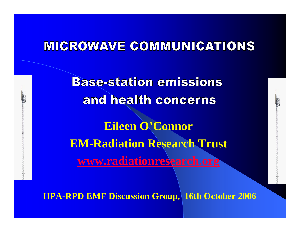#### **MICROWAVE COMMUNICATIONS**

**Base-station emissions** and health concerns **Eileen O'Connor EM-Radiation Research Trust [www.radiationresearch.org](http://www.radiationresearch.org/)**

**HPA-RPD EMF Discussion Group, 16th October 2006**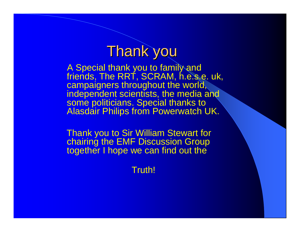## **Thank you**

A Special thank you to family and friends, The RRT, SCRAM, h.e.s.e. uk, campaigners throughout the world, independent scientists, the media and some politicians. Special thanks to Alasdair Philips from Powerwatch UK.

Thank you to Sir William Stewart for chairing the EMF Discussion Group together I hope we can find out the

Truth!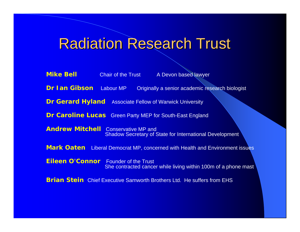## **Radiation Research Trust**

| <b>Mike Bell</b>                                                                    |  | Chair of the Trust A Devon based lawyer                                       |  |  |  |  |
|-------------------------------------------------------------------------------------|--|-------------------------------------------------------------------------------|--|--|--|--|
| <b>Dr Ian Gibson</b> Labour MP                                                      |  | Originally a senior academic research biologist                               |  |  |  |  |
|                                                                                     |  | <b>Dr Gerard Hyland</b> Associate Fellow of Warwick University                |  |  |  |  |
|                                                                                     |  | <b>Dr Caroline Lucas</b> Green Party MEP for South-East England               |  |  |  |  |
| <b>Andrew Mitchell</b> Conservative MP and                                          |  | <b>Shadow Secretary of State for International Development</b>                |  |  |  |  |
| <b>Mark Oaten</b> Liberal Democrat MP, concerned with Health and Environment issues |  |                                                                               |  |  |  |  |
| <b>Eileen O'Connor</b> Founder of the Trust                                         |  | She contracted cancer while living within 100m of a phone mast                |  |  |  |  |
|                                                                                     |  | <b>Brian Stein</b> Chief Executive Samworth Brothers Ltd. He suffers from EHS |  |  |  |  |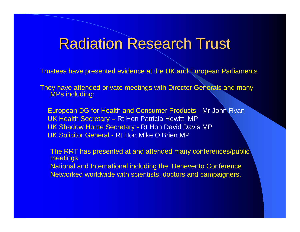## **Radiation Research Trust**

Trustees have presented evidence at the UK and European Parliaments

They have attended private meetings with Director Generals and many MPs including:

European DG for Health and Consumer Products - Mr John Ryan UK Health Secretary – Rt Hon Patricia Hewitt MP UK Shadow Home Secretary - Rt Hon David Davis MP UK Solicitor General - Rt Hon Mike O'Brien MP

The RRT has presented at and attended many conferences/public meetings National and International including the Benevento Conference Networked worldwide with scientists, doctors and campaigners.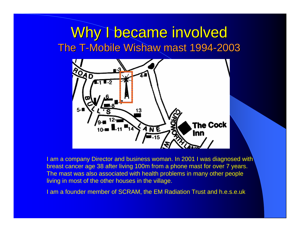#### Why I became involved The T-Mobile Wishaw mast 1994-2003



I am a company Director and business woman. In 2001 I was diagnosed with breast cancer age 38 after living 100m from a phone mast for over 7 years. The mast was also associated with health problems in many other people living in most of the other houses in the village.

I am a founder member of SCRAM, the EM Radiation Trust and h.e.s.e.uk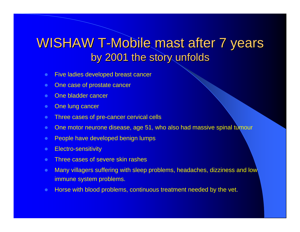#### WISHAW T-Mobile mast after 7 years by 2001 the story unfolds

- $\bullet$ Five ladies developed breast cancer
- $\bullet$ One case of prostate cancer
- $\bullet$ One bladder cancer
- $\bullet$ One lung cancer
- $\bullet$ Three cases of pre-cancer cervical cells
- $\bullet$ One motor neurone disease, age 51, who also had massive spinal tumour
- $\bullet$ People have developed benign lumps
- $\bullet$ Electro-sensitivity
- $\bullet$ Three cases of severe skin rashes
- $\bullet$  Many villagers suffering with sleep problems, headaches, dizziness and low immune system problems.
- $\bullet$ Horse with blood problems, continuous treatment needed by the vet.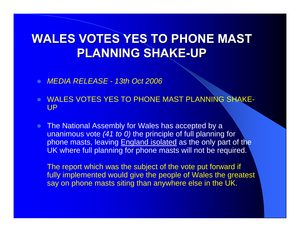#### **WALES VOTES YES TO PHONE MAST PLANNING SHAKE PLANNING SHAKE-UP**

- $\bullet$ *MEDIA RELEASE - 13th Oct 2006*
- **WALES VOTES YES TO PHONE MAST PLANNING SHAKE-**UP
- $\bullet$  The National Assembly for Wales has accepted by a unanimous vote *(41 to 0)* the principle of full planning for phone masts, leaving England isolated as the only part of the UK where full planning for phone masts will not be required.

The report which was the subject of the vote put forward if fully implemented would give the people of Wales the greatest say on phone masts siting than anywhere else in the UK.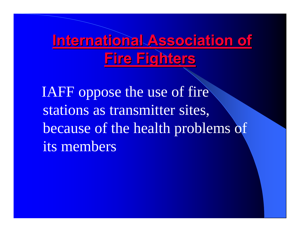**International Association of [Fire Fighters](http://www.iaff.org/) Fire Fighters**

IAFF oppose the use of fire stations as transmitter sites, because of the health problems of its members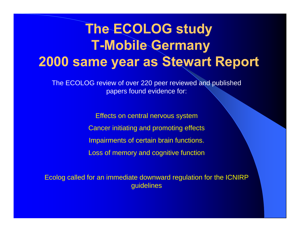## **The ECOLOG study T-Mobile Germany 2000 same year as Stewart Report**

The ECOLOG review of over 220 peer reviewed and published papers found evidence for:

> Effects on central nervous system Cancer initiating and promoting effects Impairments of certain brain functions. Loss of memory and cognitive function

Ecolog called for an immediate downward regulation for the ICNIRP guidelines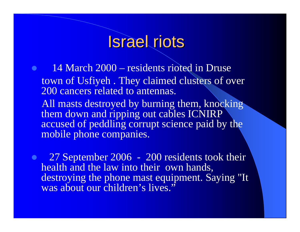## **Israel riots**

 $\bullet$  14 March 2000 – residents rioted in Druse town of Usfiyeh . They claimed clusters of over 200 cancers related to antennas. All masts destroyed by burning them, knocking

them down and ripping out cables ICNIRP accused of peddling corrupt science paid by the mobile phone companies.

 $\bullet$  27 September 2006 - 200 residents took their health and the law into their own hands, destroying the phone mast equipment. Saying "It was about our children's lives."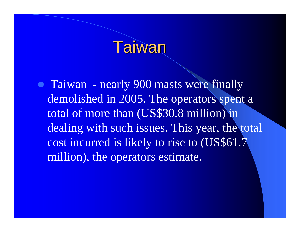## Taiwan

• Taiwan - nearly 900 masts were finally demolished in 2005. The operators spent a total of more than (US\$30.8 million) in dealing with such issues. This year, the total cost incurred is likely to rise to (US\$61.7 million), the operators estimate.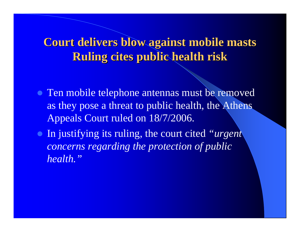#### **Court delivers blow against mobile masts Court delivers blow against mobile masts Ruling cites public health risk Ruling cites public health risk**

- Ten mobile telephone antennas must be removed as they pose a threat to public health, the Athens Appeals Court ruled on 18/7/2006.
- z In justifying its ruling, the court cited *"urgent concerns regarding the protection of public health."*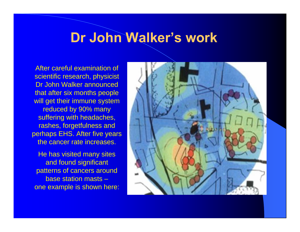#### **Dr John Walker's work**

After careful examination of scientific research, physicist Dr John Walker announced that after six months people will get their immune system reduced by 90% many suffering with headaches, rashes, forgetfulness and perhaps EHS. After five years the cancer rate increases.

He has visited many sites and found significant patterns of cancers around base station masts –one example is shown here:

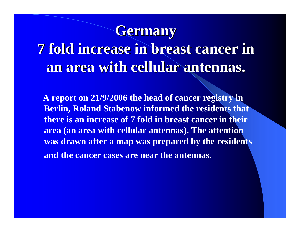## **Germany Germany**

# **7 fold increase in breast cancer in 7 fold increase in breast cancer in an area with cellular antennas. an area with cellular antennas.**

**A report on 21/9/2006 the head of cancer registry in Berlin, Roland Stabenow informed the residents that there is an increase of 7 fold in breast cancer in their area (an area with cellular antennas). The attention was drawn after a map was prepared by the residents and the cancer cases are near the antennas.**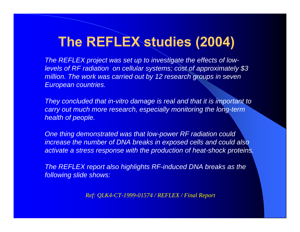## **The REFLEX studies (2004)**

*The REFLEX project was set up to investigate the effects of lowlevels of RF radiation on cellular systems; cost of approximately \$3 million. The work was carried out by 12 research groups in seven European countries.* 

*They concluded that in-vitro damage is real and that it is important to carry out much more research, especially monitoring the long-term health of people.*

*One thing demonstrated was that low-power RF radiation could increase the number of DNA breaks in exposed cells and could also activate a stress response with the production of heat-shock proteins.* 

*The REFLEX report also highlights RF-induced DNA breaks as the following slide shows:*

*Ref: QLK4-CT-1999-01574 / REFLEX / Final Report*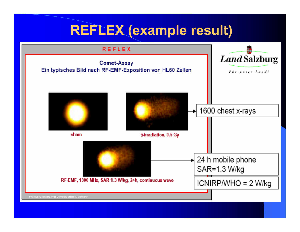### **REFLEX (example result)**



24 h mobile phone SAR=1.3 W/kg

RF-EMF, 1800 MHz, SAR 1.3 W/kg, 24h, continuous wave

 $ICNIRP/WHO = 2 W/kg$ 

P Ginical Ghembiry, Free University of Berlin, Germany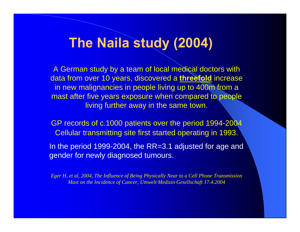#### **The Naila study (2004)**

A German study by a team of local medical doctors with data from over 10 years, discovered a **threefold** increase in new malignancies in people living up to 400m from a mast after five years exposure when compared to people living further away in the same town.

GP records of c.1000 patients over the period 1994-2004 Cellular transmitting site first started operating in 1993.

In the period 1999-2004, the RR=3.1 adjusted for age and gender for newly diagnosed tumours.

*Eger H, et al, 2004, The Influence of Being Physically Near to a Cell Phone Transmission Mast on the Incidence of Cancer, Umwelt·Medizin·Gesellschaft 17.4.2004*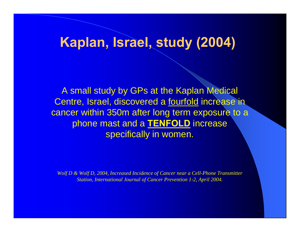#### **Kaplan, Israel, study (2004)**

A small study by GPs at the Kaplan Medical Centre, Israel, discovered a fourfold increase in cancer within 350m after long term exposure to a phone mast and a **TENFOLD** increase specifically in women.

*Wolf D & Wolf D, 2004, Increased Incidence of Cancer near a Cell-Phone Transmitter Station, International Journal of Cancer Prevention 1-2, April 2004.*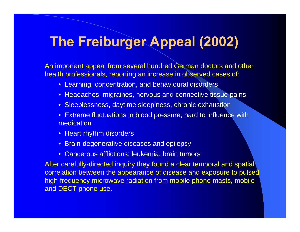## **The Freiburger Appeal (2002)**

An important appeal from several hundred German doctors and other health professionals, reporting an increase in observed cases of:

- Learning, concentration, and behavioural disorders
- Headaches, migraines, nervous and connective tissue pains
- Sleeplessness, daytime sleepiness, chronic exhaustion
- Extreme fluctuations in blood pressure, hard to influence with medication
- Heart rhythm disorders
- Brain-degenerative diseases and epilepsy
- Cancerous afflictions: leukemia, brain tumors

After carefully-directed inquiry they found a clear temporal and spatial correlation between the appearance of disease and exposure to pulsed high-frequency microwave radiation from mobile phone masts, mobile and DECT phone use.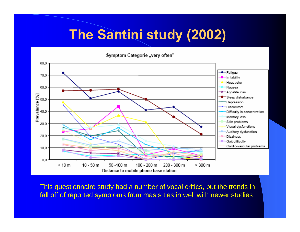## **The Santini study (2002)**

Symptom Categorie ..very often"



This questionnaire study had a number of vocal critics, but the trends in fall off of reported symptoms from masts ties in well with newer studies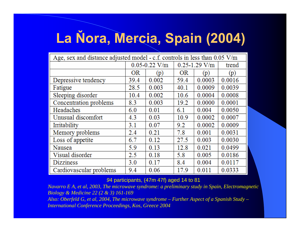# **La Ňora, Mercia, Spain (2004)**

| Age, sex and distance adjusted model - c.f. controls in less than $0.05$ V/m |                   |       |                   |        |        |
|------------------------------------------------------------------------------|-------------------|-------|-------------------|--------|--------|
|                                                                              | $0.05 - 0.22$ V/m |       | $0.25 - 1.29$ V/m |        | trend  |
|                                                                              | <b>OR</b>         | (p)   | <b>OR</b>         | (p)    | (p)    |
| Depressive tendency                                                          | 39.4              | 0.002 | 59.4              | 0.0003 | 0.0016 |
| Fatigue                                                                      | 28.5              | 0.003 | 40.1              | 0.0009 | 0.0039 |
| Sleeping disorder                                                            | 10.4              | 0.002 | 10.6              | 0.0004 | 0.0008 |
| Concentration problems                                                       | 8.3               | 0.003 | 19.2              | 0.0000 | 0.0001 |
| Headaches                                                                    | 6.0               | 0.01  | 6.1               | 0.004  | 0.0050 |
| Unusual discomfort                                                           | 4.3               | 0.03  | 10.9              | 0.0002 | 0.0007 |
| Irritability                                                                 | 3.1               | 0.07  | 9.2               | 0.0002 | 0.0009 |
| Memory problems                                                              | 2.4               | 0.21  | 7.8               | 0.001  | 0.0031 |
| Loss of appetite                                                             | 6.7               | 0.12  | 27.5              | 0.003  | 0.0030 |
| Nausea                                                                       | 5.9               | 0.13  | 12.8              | 0.021  | 0.0499 |
| Visual disorder                                                              | 2.5               | 0.18  | 5.8               | 0.005  | 0.0186 |
| <b>Dizziness</b>                                                             | 3.0               | 0.17  | 8.4               | 0.004  | 0.0117 |
| Cardiovascular problems                                                      | 9.4               | 0.06  | 17.9              | 0.011  | 0.0333 |

#### *9*4 participants, (47m 47f) aged 14 to 81

*Navarro E A, et al, 2003, The microwave syndrome: a preliminary study in Spain, Electromagnetic Biology & Medicine 22 (2 & 3) 161-169 Also: Oberfeld G, et al, 2004, The microwave syndrome – Further Aspect of a Spanish Study – International Conference Proceedings, Kos, Greece 2004*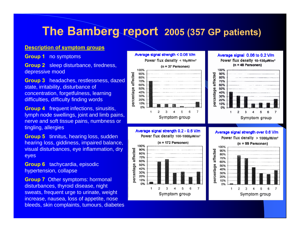#### **The Bamberg report 2005 (357 GP patients)**

#### **Description of symptom groups**

**Group 1** no symptoms

**Group 2** sleep disturbance, tiredness, depressive mood

**Group 3** headaches, restlessness, dazed state, irritability, disturbance of concentration, forgetfulness, learning difficulties, difficulty finding words

**Group 4** frequent infections, sinusitis, lymph node swellings, joint and limb pains, nerve and soft tissue pains, numbness or tingling, allergies

**Group 5** tinnitus, hearing loss, sudden hearing loss, giddiness, impaired balance, visual disturbances, eye inflammation, dry eyes

**Group 6** tachycardia, episodic hypertension, collapse

**Group 7** Other symptoms: hormonal disturbances, thyroid disease, night sweats, frequent urge to urinate, weight increase, nausea, loss of appetite, nose bleeds, skin complaints, tumours, diabetes

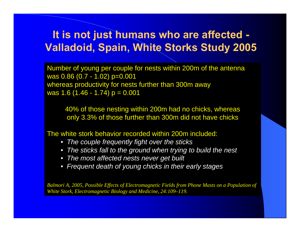#### **It is not just humans who are affected - Valladoid, Spain, White Storks Study 2005**

Number of young per couple for nests within 200m of the antenna was 0.86 (0.7 - 1.02) p=0.001 whereas productivity for nests further than 300m away was 1.6 (1.46 - 1.74)  $p = 0.001$ 

40% of those nesting within 200m had no chicks, whereas only 3.3% of those further than 300m did not have chicks

The white stork behavior recorded within 200m included:

- *The couple frequently fight over the sticks*
- *The sticks fall to the ground when trying to build the nest*
- *The most affected nests never get built*
- *Frequent death of young chicks in their early stages*

*Balmori A, 2005, Possible Effects of Electromagnetic Fields from Phone Masts on a Population of White Stork, Electromagnetic Biology and Medicine, 24:109–119.*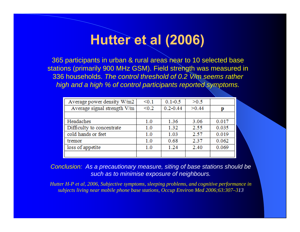## **Hutter et al (2006)**

365 participants in urban & rural areas near to 10 selected base stations (primarily 900 MHz GSM). Field strength was measured in 336 households. *The control threshold of 0.2 V/m seems rather high and a high % of control participants reported symptoms.*

| Average power density W/m2  | < 0.1 | $0.1 - 0.5$  | >0.5  |       |
|-----------------------------|-------|--------------|-------|-------|
| Average signal strength V/m | < 0.2 | $0.2 - 0.44$ | >0.44 | D     |
|                             |       |              |       |       |
| Headaches                   | 1.0   | 1.36         | 3.06  | 0.017 |
| Difficulty to concentrate   | 1.0   | 1.32         | 2.55  | 0.035 |
| cold hands or feet          | 1.0   | 1.03         | 2.57  | 0.019 |
| tremor                      | 1.0   | 0.68         | 2.37  | 0.062 |
| loss of appetite            | 1.0   | 1.24         | 2.40  | 0.069 |
|                             |       |              |       |       |

*Conclusion: As a precautionary measure, siting of base stations should be such as to minimise exposure of neighbours.*

*Hutter H-P et al, 2006, Subjective symptoms, sleeping problems, and cognitive performance in subjects living near mobile phone base stations, Occup Environ Med 2006;63:307–313*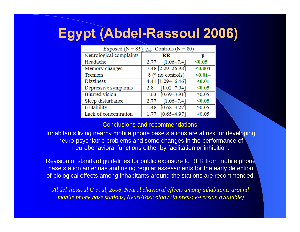## **Egypt (Abdel-Rassoul 2006)**

| Exposed ( $N = 85$ ) c.f. Controls ( $N = 80$ ) |                         |         |  |  |  |  |
|-------------------------------------------------|-------------------------|---------|--|--|--|--|
| Neurological complaints                         | RR                      | р       |  |  |  |  |
| Headache                                        | $[1.06 - 7.4]$<br>2.77  | < 0.05  |  |  |  |  |
| Memory changes                                  | 7.48 [2.29-26.98]       | $0.001$ |  |  |  |  |
| Tremors                                         | 8 (* no controls)       | $0.01–$ |  |  |  |  |
| <b>Dizziness</b>                                | 4.41 [1.29-16.46]       | $0.01$  |  |  |  |  |
| Depressive symptoms                             | $[1.02 - 7.94]$<br>2.8  | < 0.05  |  |  |  |  |
| <b>Blurred</b> vision                           | $[0.69 - 3.91]$<br>1.63 | >0.05   |  |  |  |  |
| Sleep disturbance                               | $[1.06 - 7.4]$<br>2.77  | < 0.05  |  |  |  |  |
| Irritability                                    | $[0.68 - 3.27]$<br>1.48 | >0.05   |  |  |  |  |
| Lack of concentration                           | $[0.65 - 4.97]$<br>1.77 | >0.05   |  |  |  |  |

#### Conclusions and recommendations:

Inhabitants living nearby mobile phone base stations are at risk for developing neuro-psychiatric problems and some changes in the performance of neurobehavioral functions either by facilitation or inhibition.

Revision of standard guidelines for public exposure to RFR from mobile phone base station antennas and using regular assessments for the early detection of biological effects among inhabitants around the stations are recommended.

*Abdel-Rassoul G et al, 2006, Neurobehavioral effects among inhabitants around mobile phone base stations, NeuroToxicology (in press; e-version available)*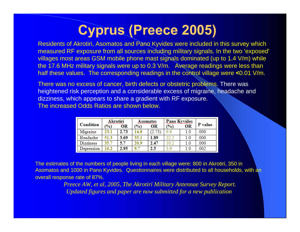## **Cyprus (Preece 2005)**

Residents of Akrotiri, Asomatos and Pano Kyvides were included in this survey which measured RF exposure from all sources including military signals. In the two 'exposed' villages most areas GSM mobile phone mast signals dominated (up to 1.4 V/m) while the 17.6 MHz military signals were up to 0.3 V/m. Average readings were less than half these values. The corresponding readings in the control village were **<**0.01 V/m.

There was no excess of cancer, birth defects or obstetric problems. There was heightened risk perception and a considerable excess of migraine, headache and dizziness, which appears to share a gradient with RF exposure. The increased Odds Ratios are shown below.

| <b>Condition</b> | <b>Akrotiri</b><br>$\frac{10}{2}$ | OR   | Asomatos<br>$\frac{1}{2}$ | OR   | <b>Pano Kyvides</b><br>$\frac{1}{2}$ | OR  | P value |
|------------------|-----------------------------------|------|---------------------------|------|--------------------------------------|-----|---------|
| Migraine         | 23.1                              | 2.73 | 14.8                      |      | 99                                   | 10  | 000     |
| Headache         | 51.3                              | 3.69 | 35.1                      | 1.89 | 22.2                                 | 1.0 | 000     |
| <b>Dizziness</b> | 35.7                              | 5.7  | 20.9                      | 2.47 | 0.                                   | 1.0 | 000     |
| Depression       | 10.2                              | 2.95 | 9.                        | 2.5  | O                                    | 1.0 | .002    |

The estimates of the numbers of people living in each village were: 800 in Akrotiri, 350 in Asomatos and 1000 in Pano Kyvides. Questionnaires were distributed to all households, with an overall response rate of 87%.

> *Preece AW, et al, 2005, The Akrotiri Military Antennae Survey Report. Updated figures and paper are now submitted for a new publication*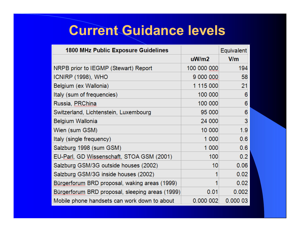### **Current Guidance levels**

| <b>1800 MHz Public Exposure Guidelines</b>             |             | Equivalent |
|--------------------------------------------------------|-------------|------------|
|                                                        | uW/m2       | V/m        |
| NRPB prior to IEGMP (Stewart) Report                   | 100 000 000 | 194        |
| ICNIRP (1998), WHO                                     | 9 000 000   | 58         |
| Belgium (ex Wallonia)                                  | 1 115 000   | 21         |
| Italy (sum of frequencies)                             | 100 000     | 6          |
| Russia, <u>PRChina</u>                                 | 100 000     | 6          |
| Switzerland, Lichtenstein, Luxembourg                  | 95 000      | 6          |
| Belgium Wallonia                                       | 24 000      | 3          |
| Wien (sum GSM)                                         | 10 000      | 1.9        |
| Italy (single frequency)                               | 1 000       | 0.6        |
| Salzburg 1998 (sum GSM)                                | 1 000       | 0.6        |
| EU-Parl, GD Wissenschaft, STOA GSM (2001)              | 100         | 0.2        |
| Salzburg GSM/3G outside houses (2002)                  | 10          | 0.06       |
| Salzburg GSM/3G inside houses (2002)                   |             | 0.02       |
| Bürgerforum BRD proposal, waking areas (1999)          |             | 0.02       |
| <u>Bürgerforum</u> BRD proposal, sleeping areas (1999) | 0.01        | 0.002      |
| Mobile phone handsets can work down to about           | 0.000 002   | 0.00003    |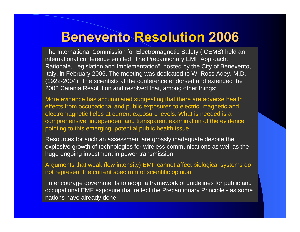#### **Benevento Benevento Resolution Resolution 2006**

The International Commission for Electromagnetic Safety (ICEMS) held an international conference entitled "The Precautionary EMF Approach: Rationale, Legislation and Implementation", hosted by the City of Benevento, Italy, in February 2006. The meeting was dedicated to W. Ross Adey, M.D. (1922-2004). The scientists at the conference endorsed and extended the 2002 Catania Resolution and resolved that, among other things:

More evidence has accumulated suggesting that there are adverse health effects from occupational and public exposures to electric, magnetic and electromagnetic fields at current exposure levels. What is needed is a comprehensive, independent and transparent examination of the evidence pointing to this emerging, potential public health issue.

Resources for such an assessment are grossly inadequate despite the explosive growth of technologies for wireless communications as well as the huge ongoing investment in power transmission.

Arguments that weak (low intensity) EMF cannot affect biological systems do not represent the current spectrum of scientific opinion.

To encourage governments to adopt a framework of guidelines for public and occupational EMF exposure that reflect the Precautionary Principle - as some nations have already done.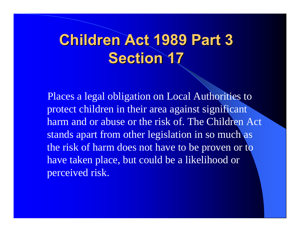# **Children Act 1989 Part 3 Section 17 Section 17**

Places a legal obligation on Local Authorities to protect children in their area against significant harm and or abuse or the risk of. The Children Act stands apart from other legislation in so much as the risk of harm does not have to be proven or to have taken place, but could be a likelihood or perceived risk.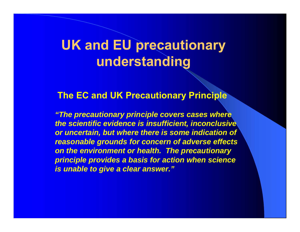### **UK and EU precautionary understanding**

#### **The EC and UK Precautionary Principle**

*"The precautionary principle covers cases where the scientific evidence is insufficient, inconclusive or uncertain, but where there is some indication of reasonable grounds for concern of adverse effects on the environment or health. The precautionary principle provides a basis for action when science is unable to give a clear answer."*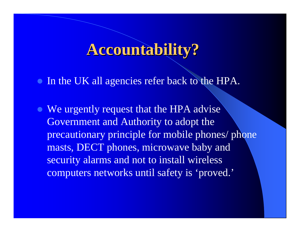## **Accountability? Accountability?**

• In the UK all agencies refer back to the HPA.

• We urgently request that the HPA advise Government and Authority to adopt the precautionary principle for mobile phones/ phone masts, DECT phones, microwave baby and security alarms and not to install wireless computers networks until safety is 'proved.'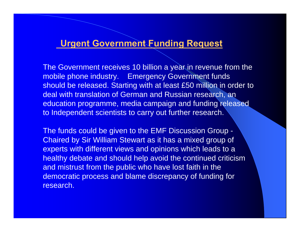#### **Urgent Government Funding Request**

The Government receives 10 billion a year in revenue from the mobile phone industry. Emergency Government funds should be released. Starting with at least £50 million in order to deal with translation of German and Russian research, an education programme, media campaign and funding released to Independent scientists to carry out further research.

The funds could be given to the EMF Discussion Group - Chaired by Sir William Stewart as it has a mixed group of experts with different views and opinions which leads to a healthy debate and should help avoid the continued criticism and mistrust from the public who have lost faith in the democratic process and blame discrepancy of funding for research.